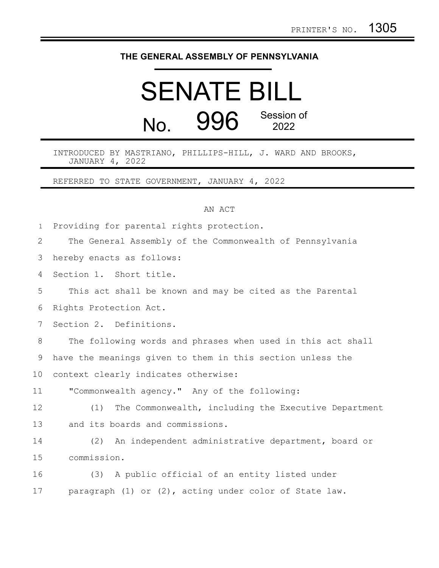## **THE GENERAL ASSEMBLY OF PENNSYLVANIA**

## SENATE BILL  $N_{\Omega}$  996 Session of 2022

INTRODUCED BY MASTRIANO, PHILLIPS-HILL, J. WARD AND BROOKS, JANUARY 4, 2022

REFERRED TO STATE GOVERNMENT, JANUARY 4, 2022

## AN ACT

Providing for parental rights protection. 1

|  |  |  |  |  |  | The General Assembly of the Commonwealth of Pennsylvania |  |  |  |
|--|--|--|--|--|--|----------------------------------------------------------|--|--|--|
|--|--|--|--|--|--|----------------------------------------------------------|--|--|--|

hereby enacts as follows: 3

Section 1. Short title. 4

This act shall be known and may be cited as the Parental 5

Rights Protection Act. 6

Section 2. Definitions. 7

The following words and phrases when used in this act shall have the meanings given to them in this section unless the context clearly indicates otherwise: 8 9 10

"Commonwealth agency." Any of the following: 11

(1) The Commonwealth, including the Executive Department and its boards and commissions. 12 13

(2) An independent administrative department, board or commission. 14 15

(3) A public official of an entity listed under paragraph (1) or (2), acting under color of State law. 16 17